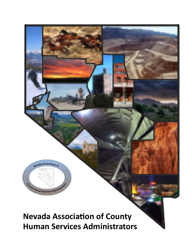

# **Nevada Association of County Human Services Administrators**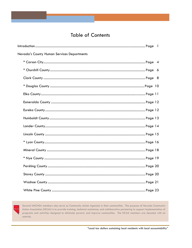## **Table of Contents**

| Nevada's County Human Services Departments |  |
|--------------------------------------------|--|
|                                            |  |
|                                            |  |
|                                            |  |
|                                            |  |
|                                            |  |
|                                            |  |
|                                            |  |
|                                            |  |
|                                            |  |
|                                            |  |
|                                            |  |
|                                            |  |
|                                            |  |
|                                            |  |
|                                            |  |
|                                            |  |
|                                            |  |



Several NACHSA members also serve as Community Action Agencies in their communities. The purpose of Nevada Community Action Association (NCAA) is to provide training, technical assistance, and collaborative partnering to support implementation of programs and activities designed to eliminate poverty and improve communities. The NCAA members are denoted with an asterisk.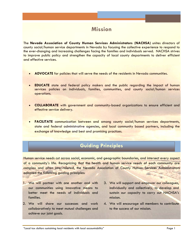## **Mission**

The **Nevada Association of County Human Services Administrators (NACHSA)** unites directors of county social/human service departments in Nevada by focusing the collective experience to respond to the ever-changing and increasing challenges facing the families and individuals served. NACHSA strives to improve public policy and strengthen the capacity of local county departments to deliver efficient and effective services.

- **ADVOCATE** for policies that will serve the needs of the residents in Nevada communities.
- **EDUCATE** state and federal policy makers and the public regarding the impact of human services policies on individuals, families, communities, and county social/human services operations.
- **COLLABORATE** with government and community-based organizations to ensure efficient and effective service delivery.
- **FACILITATE** communication between and among county social/human services departments, state and federal administrative agencies, and local community based partners, including the exchange of knowledge and best and promising practices.

## **Guiding Principles**

Human service needs cut across social, economic, and geographic boundaries, and intersect every aspect of a community's life. Recognizing that the health and human service needs of each community are complex and often inter-related, the Nevada Association of County Human Services Administrators adopted the following guiding principles:

- 1. We will partner with one another and with our communities using innovative means to better meet the needs of individuals and families.
- 2. We will share our successes and work collaboratively to meet mutual challenges and achieve our joint goals.
- 3. We will support and empower our colleagues, individually and collectively, to develop and sustain our capacity to carry out NACHSA's mission.
- 4. We will encourage all members to contribute to the success of our mission.

"Local tax dollars sustaining local residents with local accountability" Page 1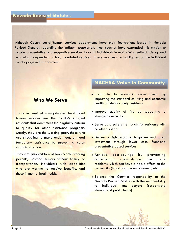Although County social/human services departments have their foundations based in Nevada Revised Statutes regarding the indigent population, most counties have expanded this mission to include preventative and supportive services to assist individuals in maintaining self-sufficiency and remaining independent of NRS mandated services. These services are highlighted on the individual County page in this document.

## **Who We Serve**

Those in need of county-funded health and human services are the county's indigent residents that don't meet the eligibility criteria to qualify for other assistance programs. Mostly, they are the working poor, those who are struggling to make ends meet, or need temporary assistance to prevent a catastrophic situation.

They are also children of low-income working parents, isolated seniors without family or transportation, individuals with disabilities who are waiting to receive benefits, and those in mental health crisis.

## **NACHSA Value to Community**

- **Contribute** to economic development by improving the standard of living and economic health of at-risk county residents
- Improve quality of life by supporting a stronger community
- **+** Serve as a safety net to at-risk residents with no other options
- **Deliver a high return on taxpayer and grant** investment through lower cost, front-end preventative based services
- Achieve cost-savings by preventing catastrophic circumstances for some residents, which can have a ripple effect on the community (hospitals, law enforcement, etc.)
- **Balance the Counties responsibility to the** Nevada Revised Statues with the responsibility to individual tax payers (responsible stewards of public funds)



Page 2 "Local tax dollars sustaining local residents with local accountability"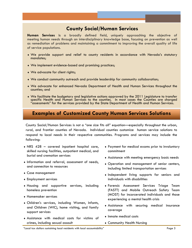## **County Social/Human Services**

**Human Services** is a broadly defined field, uniquely approaching the objective of meeting human needs through an interdisciplinary knowledge base, focusing on prevention as well as remediation of problems and maintaining a commitment to improving the overall quality of life of service populations.

- We provide support and relief to county residents in accordance with Nevada's statutory mandates;
- We implement evidence-based and promising practices;
- We advocate for client rights;
- We conduct community outreach and provide leadership for community collaboration;
- We advocate for enhanced Nevada Department of Health and Human Services throughout the counties; and
- We facilitate the budgetary and legislative actions approved by the 2011 Legislature to transfer specific Health and Human Services to the counties. In most cases the Counties are charged "assessments" for the services provided by the State Department of Health and Human Services.

## **Examples of Customized County Human Services Solutions**

County Social/Human Services is not a "one size fits all" equation—especially throughout the urban, rural, and frontier counties of Nevada. Individual counties customize human service solutions to respond to local needs in their respective communities. Programs and services may include the following:

- NRS 428 covered inpatient hospital care, skilled nursing facilities, outpatient medical, and burial and cremation services
- Information and referral, assessment of needs, and connection to resources
- Case management
- Employment services
- Housing and supportive services, including homeless prevention
- Homemaker services
- Children's services, including Women, Infants, and Children (WIC), home visiting, and family support services
- Assistance with medical costs for victims of crimes, including sexual assault
- Payment for medical exams prior to involuntary commitment
- Assistance with meeting emergency basic needs
- Operation and management of senior centers, including limited transportation services
- Independent living supports for seniors and individuals with disabilities
- Forensic Assessment Services Triage Team (FASTT) and Mobile Outreach Safety Team (MOST) for incarcerated individuals and those experiencing a mental health crisis
- Assistance with securing medical insurance coverage
- Inmate medical costs
- Community Health Nursing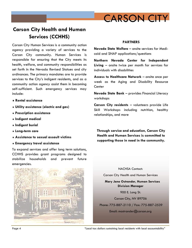

## **Carson City Health and Human Services (CCHHS)**

Carson City Human Services is a community action agency providing a variety of services to the Carson City community. Human Services is responsible for ensuring that the City meets its health, welfare, and community responsibilities as set forth in the Nevada Revised Statues and city ordinances. The primary mandates are to provide services to the City's indigent residents, and as a community action agency assist them in becoming self-sufficient. Such emergency services may include:

- **Rental assistance**
- **Utility assistance (electric and gas)**
- **Prescription assistance**
- **Indigent medical**
- **Indigent burial**
- **Long-term care**
- **Assistance to sexual assault victims**
- **Emergency travel assistance**

To expand services and offer long term solutions, CCHHS provides grant programs designed to stabilize households and prevent future emergencies.



#### **PARTNERS**

**Nevada State Welfare** – onsite services for Medicaid and SNAP applications/questions

**Northern Nevada Center for Independent Living** – onsite twice per month for services for individuals with disabilities

**Access to Healthcare Network** – onsite once per week as the Aging and Disability Resource **Center** 

**Nevada State Bank** – provides Financial Literacy workshops

**Carson City residents** – volunteers provide Life Skill Workshops including nutrition, healthy relationships, and more

**Through service and education, Carson City Health and Human Services is committed to supporting those in need in the community.** 

NACHSA Contact: Carson City Health and Human Services **Mary Jane Ostrander, Human Services Division Manager**  900 E. Long St. Carson City, NV 89706 Phone: 775-887-2110 / Fax: 775-887-2539 Email: mostrander@carson.org

Page 4 The Cocal tax dollars sustaining local residents with local accountability"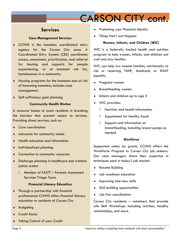# CARSON CITY cont.

## **Services**

## **Case Management Services**

- CCHHS is the homeless coordinated entry agency for the Carson City area. A Coordinated Entry System (CES) coordinates access, assessment, prioritization, and referral for housing and supports for people experiencing, or at imminent risk for, homelessness in a community.
- Housing programs for the homeless and at risk of becoming homeless, includes case management.
- Self-sufficiency goal planning

### **Community Health Worker**

A resource liaison to assist residents in breaking the barriers that prevent access to services. Providing direct services, such as:

- Care coordination
- Advocate for community needs
- Health education and information
- Individualized planning
- ◆ Connection to community resources
- Discharge planning in healthcare and criminal justice system
	- Member of FASTT Forensic Assessment Services Triage Team

## **Financial Literacy Education**

- Through a partnership with financial professionals CCHHS offers financial literacy education to residents of Carson City
- **Budgeting**
- Credit Basics
- Taking Control of your Credit
- Protecting your Financial Identity
- Things Don't Just Happen

## **Women, Infants, and Children (WIC)**

WIC is a federally funded health and nutrition program to help women, infants, and children eat well and stay healthy.

WIC can help low income families, nutritionally at risk or receiving TANF, Medicaid, or SNAP benefits.

- Pregnant women
- Breastfeeding women
- Infants and children up to age 5
- WIC provides:
	- $\Diamond$  Nutrition and health information
	- $\Diamond$  Supplement for healthy foods
	- Support and information on breastfeeding, including breast pumps as needed

## **Workforce**

Supported solely by grants, CCHHS offers the Workforce Program to Carson City job seekers. Our case managers share their expertise in techniques used in today's job market.

- Resume Building
- Job readiness education
- $\bullet$  Improving interview skills
- Skill building opportunities
- Job Fair coordination

Carson City residents – volunteers that provide Life Skill Workshops including nutrition, healthy relationships, and more.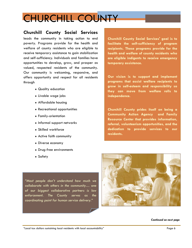# CHURCHILL COUNTY

## **Churchill County Social Services**

leads the community in taking action to end poverty. Programs provide for the health and welfare of county residents who are eligible to receive temporary assistance to gain stabilization and self-sufficiency. Individuals and families have opportunities to develop, grow, and prosper as valued, respected residents of the community. Our community is welcoming, responsive, and offers opportunity and respect for all residents through

- Quality education
- Livable wage jobs
- Affordable housing
- Recreational opportunities
- Family-orientation
- $\bullet$  Informal support networks
- Skilled workforce
- Active faith community
- Diverse economy
- Drug-free environments
- Safety

*"Most people don't understand how much we collaborate with others in the community… one of our biggest collaborative partners is law enforcement. The County serves as the coordinating point for human service delivery."* 

**Churchill County Social Services' goal is to facilitate the self-sufficiency of program recipients. These programs provide for the health and welfare of county residents who are eligible indigents to receive emergency temporary assistance.** 

**Our vision is to support and implement programs that assist welfare recipients to grow in self-esteem and responsibility so they can move from welfare rolls to independence.** 

**Churchill County prides itself on being a Community Action Agency and Family Resource Center that provides information, referral, volunteerism opportunities, and the dedication to provide services to our residents.** 



#### *Continued on next page*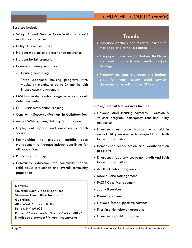## CHURCHILL COUNTY (cont'd)

### **Services Include**

- Wrap Around Service Coordination to avoid eviction or disconnect
- Utility deposit assistance
- Indigent medical and prescription assistance
- $\bullet$  Indigent burial/cremation
- Homeless housing assistance
	- Housing counseling
	- Three additional housing programs; two weeks, six months, or up to 24 months with intense case management
- FASTT—inmate reentry program in local adult detention center
- CIT—Crisis Intervention Training
- Community Resource/Partnership Collaboration
- Annual Wishing Tree/Holiday Gift Program
- Employment support and employer outreach services
- Partnerships to provide mobile case management to increase independent living for all populations
- Public Guardianship
- Community education for community health, child abuse prevention and overall community population

**NACHSA** Churchill County Social Services **Shannon Ernst, Director and Public Guardian**  485 West B Street, #105 Fallon, NV 89406 Phone: 775-423-6695/Fax: 775-423-8057 Email: socialservices@churchillcounty.org

## **Trends**

- Increased evictions, and residents in need of mortgage and rental assistance
- The population expansion that resulted from the housing boom is now creating a job shortage
- Property tax caps are creating a budget crisis for many county social service departments, including Churchill County

#### **Intake/Referral Site Services Include**

- Nevada Rural Housing Authority Section 8 voucher program, emergency rent and utility assistance
- Emergency Assistance Program to aid in annual utility services with non-profit and faith based organizations
- Homeowner rehabilitation and weatherization programs
- Emergency food services to non-profit and faith based organizations
- Adult education programs
- Mobile Case Management
- FASTT Case Management
- Job skill services
- Parenting classes
- Nevada State supportive services
- First-time Homebuyer programs
- Emergency Clothing Program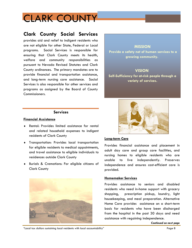# CLARK COUNTY

## **Clark County Social Services**

provides aid and relief to indigent residents who are not eligible for other State, Federal or Local programs. Social Services is responsible for ensuring that Clark County meets its health, welfare and community responsibilities as pursuant to Nevada Revised Statutes and Clark County ordinances. The primary mandates are to provide financial and transportation assistance, and long-term nursing care assistance. Social Services is also responsible for other services and programs as assigned by the Board of County Commissioners.

**MISSION**

**Provide a safety net of human services to a growing community.** 

## **VISION**

**Self-Sufficiency for at-risk people through a variety of services.** 

## **Services**

### **Financial Assistance**

- Rental: Provides limited assistance for rental and related household expenses to indigent residents of Clark County
- Transportation: Provides local transportation for eligible residents to medical appointments, and travel assistance to eligible individuals to residences outside Clark County
- Burials & Cremations: For eligible citizens of Clark County





## **Long-term Care**

Provides financial assistance and placement in adult day care and group care facilities, and nursing homes to eligible residents who are unable to live independently. Preserves independence and ensures cost-efficient care is provided.

### **Homemaker Services**

Provides assistance to seniors and disabled residents who need in-home support with grocery shopping, prescription pickup, laundry, light housekeeping, and meal preparation. Alternative Home Care provides assistance on a short-term basis for residents who have been discharged from the hospital in the past 30 days and need assistance with regaining independence.

"Local tax dollars sustaining local residents with local accountability" Page 8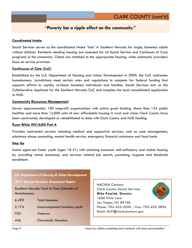## *"Poverty has a ripple effect on the community."*

### **Coordinated Intake**

Social Services serves as the coordinated intake "hub" in Southern Nevada for single, homeless adults without children. Residents needing housing are assessed for all Social Service and Continuum of Care programs in the community. Clients are matched to the appropriate housing, while community providers focus on service provision.

### **Continuum of Care (CoC)**

Established by the U.S. Department of Housing and Urban Development in 2009, the CoC addresses homelessness. Jurisdictions meet certain rules and regulations to compete for federal funding that supports efforts to rapidly re-house homeless individuals and families. Social Services acts as the Collaborative Applicant for the Southern Nevada CoC and compiles the local consolidated application to HUD.

### **Community Resources Management**

Serves approximately 100 nonprofit organizations with active grant funding. More than 134 public facilities and more than 12,000 units of new affordable housing in rural and urban Clark County have been constructed, developed or rehabilitated to date with Clark County and HUD funding.

### **Ryan White HIV/AIDS Part A**

Provides contracted services including medical and supportive services, such as case management, substance abuse counseling, mental health service, emergency financial assistance and food bank.

### **Step Up**

Assists aged-out foster youth (ages 18-21) with attaining economic self-sufficiency and stable housing by providing rental assistance, and services related job search, parenting, hygiene and Medicaid enrollment.

| <b>U.S. Department of Housing &amp; Urban Development</b>   |                              |  |
|-------------------------------------------------------------|------------------------------|--|
| <b>2017 Annual Homeless Assessment Report</b>               |                              |  |
| Southern Nevada Point-in-Time Estimates of<br>Homelessness: |                              |  |
| 6,490                                                       | Total homeless               |  |
| 2,174                                                       | Unaccompanied homeless youth |  |
| 702                                                         | Veterans                     |  |
| 446                                                         | <b>Chronically Homeless</b>  |  |

NACHSA Contact: Clark County Social Services **Mike Pawlak, Director**  1600 Pinto Lane Las Vegas, NV 89106 Phone: 702-455-5596 / Fax: 702-455-3896 Email: MJP@clarkcountynv.gov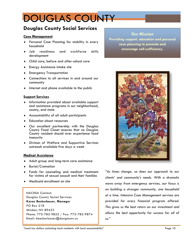# DOUGLAS COUNTY

## **Douglas County Social Services**

### **Case Management**

- Personal Case Planning for stability in every household
- Job readiness and workforce skills development
- Child care, before and after-school care
- Energy Assistance intake site
- Emergency Transportation
- Connections to all services in and around our community
- $\bullet$  Internet and phone available to the public

### **Support Services**

- Information provided about available support and assistance programs in our neighborhood, county, and state
- Accountability of all adult participants
- Education about resources
- Our excellent partnership with the Douglas County Food Closet ensures that no Douglas County resident should ever experience food insecurity
- Division of Welfare and Supportive Services outreach available five days a week

### **Medical Assistance**

- Adult group and long-term care assistance
- ◆ Burial/Cremation
- Funds for counseling and medical treatment for victims of sexual assault and their families
- Medicaid enrollment on site

NACHSA Contact: Douglas County Social Services **Karen Beckerbauer, Manager**  PO Box 218 Minden, NV 89423 Phone: 775-782-9825 / Fax: 775-782-9874 Email: kbeckerbauer@douglasnv.us

**Our Mission Providing support, education and personal** 

> **case planning to promote and encourage self-sufficiency.**

*"As times change, so does our approach to our clients' and community's needs. With a dramatic move away from emergency services, our focus is on building a stronger community, one household at a time. Intensive Case Management services are provided for every financial program offered. This gives us the best return on our investment and allows the best opportunity for success for all of us."* 

"Local tax dollars sustaining local residents with local accountability" Page 10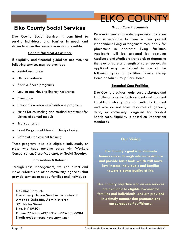

## **Elko County Social Services**

Elko County Social Services is committed to serving individuals and families in need, and strives to make the process as easy as possible.

#### **General/Medical Assistance**

If eligibility and financial guidelines are met, the following services may be provided

- Rental assistance
- Utility assistance
- SAFE & Share programs
- **+** Low Income Housing Energy Assistance
- ◆ Cremation
- **Prescription resources/assistance programs**
- Funds for counseling and medical treatment for victims of sexual assault
- Transportation
- Food Program of Nevada (Jackpot only)
- Referral employment training

These programs also aid eligible individuals, or those who have pending cases with Workers Compensation, State Medicare, or Social Security.

## **Information & Referral**

Through case management, we can direct and make referrals to other community agencies that provide services to needy families and individuals.

NACHSA Contact: Elko County Human Services Department **Amanda Osborne, Administrator**  571 Idaho Street Elko, NV 89801 Phone: 775-738-4375/Fax: 775-738-5984 Email: aosborne@elkocountynv.net

### **Group Care Placements**

Persons in need of greater supervision and care than is available to them in their present independent living arrangement may apply for placement in alternate living facilities. Applicants will be screened by applying Medicare and Medicaid standards to determine the level of care and length of care needed. An applicant may be placed in one of the following types of facilities: Family Group Home or Adult Group Care Home.

#### **Extended Care Facilities**

Elko County provides health care assistance and institutional care for both resident and transient individuals who qualify as medically indigent and who do not have resources of general, state, or community programs for needed health care. Eligibility is based on Department standards.

## **Our Vision**

**Elko County's goal is to eliminate homelessness through interim assistance and provide basic tools which will move low-income individuals and families toward a better quality of life.** 

**Our primary objective is to ensure services are available to eligible low-income families and individuals, and are provided in a timely manner that promotes and encourages self-sufficiency.**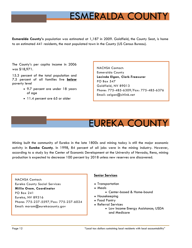# ESMERALDA COUNTY

**Esmeralda County's** population was estimated at 1,187 in 2009. Goldfield, the County Seat, is home to an estimated 441 residents, the most populated town in the County (US Census Bureau).

The County's per capita income in 2006 was \$18,971.

15.3 percent of the total population and 7.5 percent of all families live **below** poverty level

- 9.7 percent are under 18 years of age
- 11.4 percent are 65 or older

NACHSA Contact: Esmeralda County **Lacinda Elgan, Clerk-Treasurer**  PO Box 547 Goldfield, NV 89013 Phone: 775-485-6309/Fax: 775-485-6376 Email: celgan@citlink.net

# EUREKA COUNTY

Mining built the community of Eureka in the late 1800s and mining today is still the major economic activity in **Eureka County**. In 1998, 84 percent of all jobs were in the mining industry. However, according to a study by the Center of Economic Development at the University of Nevada, Reno, mining production is expected to decrease 100 percent by 2018 unless new reserves are discovered.

NACHSA Contact: Eureka County Social Services **Millie Oram, Coordinator**  PO Box 241 Eureka, NV 89316 Phone: 775-237-5597/Fax: 775-237-6024 Email: moram@eurekacounty.gov

## **Senior Services**

- Transportation
- Meals
	- Center-based & Home-bound
- Housekeeping
- Food Pantry
- Referral Services
	- Low Income Energy Assistance; USDA and Medicare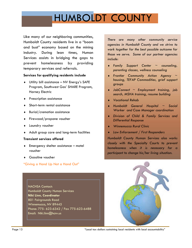# HUMBOLDT COUNTY

Like many of our neighboring communities, Humboldt County residents live in a "boom and bust" economy based on the mining industry. During lean times, Human Services assists in bridging the gaps to prevent homelessness by providing temporary services and referrals.

## **Services for qualifying residents include**

- Utility bill assistance NV Energy's SAFE Program, Southwest Gas' SHARE Program, Harney Electric
- **+** Prescription assistance
- Short-term rental assistance
- Burial/cremation assistance
- ◆ Firewood/propane voucher
- Laundry voucher
- Adult group care and long-term facilities

## **Transient services offered**

- Emergency shelter assistance motel voucher
- ◆ Gasoline voucher

## "Giving a Hand Up Not a Hand Out"

NACHSA Contact: Humboldt County Human Services **Niki Linn, Coordinator**  801 Fairgrounds Road Winnemucca, NV 89445 Phone: 775- 623-6342 / Fax 775-623-6488 Email: Niki.linn@hcnv.us

*There are many other community service agencies in Humboldt County and we strive to work together for the best possible outcome for those we serve. Some of our partner agencies include:* 

- *Family Support Center ~ counseling, parenting classes, wellness counseling*
- *Frontier Community Action Agency ~ housing, TEFAP Commodities, grief support groups*
- *JobConnect ~ Employment training, job search, MSHA training, resume building*
- *Vocational Rehab*
- *Humboldt General Hospital ~ Social Worker and Case Manager coordination*
- *Division of Child & Family Services and Differential Response*
- *Winnemucca Rural Clinic*
- *Law Enforcement / First Responders*

*Humboldt County Human Services also works closely with the Specialty Courts to prevent homelessness when it is necessary for a participant to change his/her living situation.* 

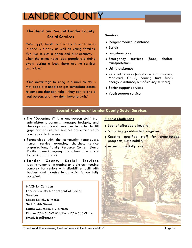# LANDER COUNTY

## **The Heart and Soul of Lander County Social Services**

"We supply health and safety to our families in need… elderly as well as young families. We live in such a boom and bust economy when the mines have jobs, people are doing okay; during a bust, there are no services available."

"One advantage to living in a rural county is that people in need can get immediate access to someone that can help – they can talk to a real person, and they don't have to wait."

## **Services**

- Indigent medical assistance
- Burials
- Long-term care
- Emergency services (food, shelter, transportation)
- Utility assistance
- Referral services (assistance with accessing Medicaid, CHIPS, housing trust funds, energy assistance, out-of-county services)
- Senior support services
- Youth support services

## **Special Features of Lander County Social Services**

- The "Department" is a one-person staff that administers programs, manages budgets, and develops additional resources in order to fill gaps and ensure that services are available to county residents in need.
- Partnerships with the community (employers, human service agencies, churches, service organizations, Family Resource Center, Sierra Pacific Power Company, and others) are critical to making it all work.
- **Lander County Social Services** was instrumental in getting an eight-unit housing complex for seniors with disabilities built with business and industry funds, which is now fully occupied.

NACHSA Contact: Lander County Department of Social **Services Sandi Smith, Director**  365 E. 4th Street Battle Mountain, NV 89820 Phone: 775-635-2503/Fax: 775-635-3116 Email: lcss@att.net

## **Biggest Challenges**

- Lack of affordable housing
- Sustaining grant-funded programs
- Keeping qualified staff for grant-funded programs; sustainability
- **Access to specialty care**



"Local tax dollars sustaining local residents with local accountability" Page 14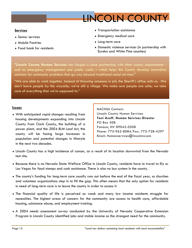

## **Services**

- Senior services
- Mobile Pantries
- Food bank for residents
- Transportation assistance
- Emergency medical care
- Long-term care
- Domestic violence services (in partnership with Eureka and White Pine counties)

"**Lincoln County Human Services** has forged a close partnership with other county departments such as emergency management and public works – which helps the County develop innovative solutions for community problems that go way beyond traditional social services."

"We are able to work together. Instead of throwing someone in jail, the Sheriff's office calls us. We don't leave people by the wayside; we're still a village. We make sure people are safe; we take care of everything that we're supposed to."

### **Issues**

With anticipated rapid changes resulting from housing developments expanding into Lincoln County from Clark County, the building of a power plant, and the *2004 BLM Land Act*, the county will be facing large increases in population and potential changes in lifestyle in the next two decades.

NACHSA Contact: Lincoln County Human Services **Toni Acuff, Human Services Director**  PO Box 508 Panaca, NV 89042-0508 Phone: 775-962-8084/Fax: 775-728-4297 Email: Humanservices@lincolnnvcom

- Lincoln County has a high incidence of cancer, as a result of its location downwind from the Nevada test site.
- Because there is no Nevada State Welfare Office in Lincoln County, residents have to travel to Ely or Las Vegas for food stamps and cash assistance. There is also no bus system in the county.
- The county's funding for long-term care usually runs out before the end of the fiscal year, so churches and volunteer organizations step in to fill the gap. This often means that the only option for residents in need of long-term care is to leave the county in order to access it.
- The financial quality of life is perceived as weak and many low income residents struggle for necessities. The highest areas of concern for the community are access to health care, affordable housing, substance abuse, and employment training.
- A 2004 needs assessment survey conducted by the University of Nevada Cooperative Extension Program in Lincoln County identified jobs and stable income as the strongest need for the community.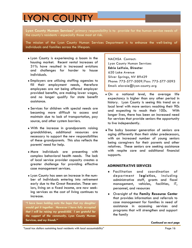# LYON COUNTY

**Lyon County Human Services'** primary responsibility is to provide for the human service needs of the county's residents - especially those most at risk.

The mission of the Lyon County Human Services Department is to enhance the well-being of individuals and families across the lifespan.

- Lyon County is experiencing a boom in the housing market. Recent rental increases of 31% have resulted in increased evictions and challenges for harder to house individuals.
- Employers are utilizing staffing agencies to fill their employment needs, therefore employees are not being offered employer provided benefits, are making lower wages, and no longer qualify for state benefit assistance.
- Services for children with special needs are becoming more difficult to access and maintain due to lack of transportation, pay source, and other system barriers.
- With the increase in grandparents raising grandchildren, additional resources are necessary to support the new responsibilities of these grandparents. This also reflects the parents' need for help.
- More individuals are presenting with complex behavioral health needs. The lack of local service provider capacity creates a greater challenge for providing effective case management services.
- Lyon County has seen an increase in the number of individuals entering into retirement early due to the Great Recession. These seniors, living on a fixed income, are now seeking services as the cost of living continues to increase.

*"I have been holding onto the hope that my daughter would get it together. However I have fully accepted that I will be raising my grandchild. I am grateful for the support of the community, Lyon County Human Services, and my friends."*

NACHSA Contact: Lyon County Human Services **Edrie LaVoie, Director**  620 Lake Avenue Silver Springs, NV 89429 Phone: 775-577-5009/Fax: 775-577-5093 Email: elavoie@lyon-county.org

- On a national level, the average life expectancy is higher than any other period in history. Lyon County is seeing this trend on a local level with more seniors reaching their 90s and expecting to reach their 100s. With longer lives, there has been an increased need for services that provide seniors the opportunity to live independently.
- The baby boomer generation of seniors are aging differently than their older predecessors, with an increased number of young seniors being caregivers for their parents and other relatives. These seniors are seeking assistance with respite care and additional financial supports.

## **ADMINISTRATIVE SERVICES**

- Facilitation and coordination of department **logistics**, including administrative staff, grants and fiscal management, vehicles, facilities, IT, personnel, and resources
- Oversight of the **Family Resource Center**  that provides information and referrals to case management for families in need of assistance in accessing services and programs that will strengthen and support the family

"Local tax dollars sustaining local residents with local accountability" Page 16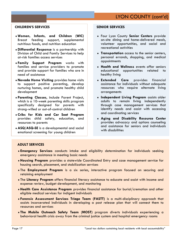## **CHILDREN'S SERVICES**

- **Women, Infants, and Children (WIC)**  Breast feeding support, supplemental nutritious foods, and nutrition education
- **Differential Response** is a partnership with Division of Child and Family Services to help at-risk families access services
- **Family Support Program** works with families and service providers to promote and provide support for families who are in need of assistance
- **Nevada Home Visiting** provides home visits to support positive parenting, develop nurturing homes, and promote healthy child development
- **Parenting Classes**, include Parent Project, which is a 10-week parenting skills program specifically designed for parents with strong-willed or out-of-control children
- **Cribs for Kids and Car Seat Program** provides child safety, education, and resources to parents
- **ASQ/ASQ-SE** is a developmental and social emotional screening for young children

## **SENIOR SERVICES**

- Four Lyon County **Senior Centers** provide on-site dining and home-delivered meals, volunteer opportunities, and social and recreational activities
- **Transportation** access to the senior centers, personal errands, shopping, and medical appointments
- **Health and Wellness** events offer seniors educational opportunities related to healthy living
- **Extended Care** provides financial assistance for individuals without adequate resources who require alternate living arrangements
- **Independent Living Program** assists older adults to remain living independently through case management services that identify needs and assist with accessing and coordinating services
- **Aging and Disability Resource Center** provides advocacy and options counseling and assistance for seniors and individuals with disabilities

## **ADULT SERVICES**

- **Emergency Services** conducts intake and eligibility determination for individuals seeking emergency assistance in meeting basic needs
- **Housing Program** provides a statewide Coordinated Entry and case management service for housing search, placement, and stabilization services
- The **Employment Program** is a six series, interactive program focused on securing and retaining employment
- The **Literacy Program** offers financial literacy assistance to educate and assist with income and expense review, budget development, and monitoring
- **Health Care Assistance Program** provides financial assistance for burial/cremation and other eligible medical services for indigent individuals
- **Forensic Assessment Services Triage Team (FASTT)** is a multi-disciplinary approach that assists incarcerated individuals in developing a post release plan that will connect them to resources and services
- **The Mobile Outreach Safety Team** (**MOST)** program diverts individuals experiencing a behavioral health crisis away from the criminal justice system and hospital emergency rooms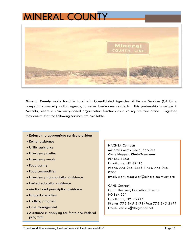# MINERAL COUNTY



**Mineral County** works hand in hand with Consolidated Agencies of Human Services (CAHS), a non-profit community action agency, to serve low-income residents. This partnership is unique in Nevada, where a community-based organization functions as a county welfare office. Together, they ensure that the following services are available:

- Referrals to appropriate service providers
- Rental assistance
- Utility assistance
- Emergency shelter
- Emergency meals
- Food pantry
- Food commodities
- Emergency transportation assistance
- Limited education assistance
- Medical and prescription assistance
- Indigent cremation
- Clothing program
- Case management
- Assistance in applying for State and Federal programs

NACHSA Contact: Mineral County Social Services **Chris Nepper, Clerk-Treasurer**  PO Box 1450 Hawthorne, NV 89415 Phone: 775-945-2446 / Fax: 775-945- 0706 Email: clerk-treasurer@mineralcountynv.org

CAHS Contact: Carla Hemmer, Executive Director PO Box 331 Hawthorne, NV 89415 Phone: 775-945-2471/Fax: 775-945-2499 Email: cahsnv@sbcglobal.net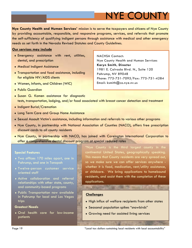# NYE COUNTY

**Nye County Health and Human Services'** mission is to serve the taxpayers and citizens of Nye County by providing accountable, responsible, and responsive programs, services, and referrals that promote the self-sufficiency of qualifying indigent persons through assistance with medical and other emergency needs as set forth in the Nevada Revised Statutes and County Guidelines.

### **Our services may include**

- Emergency assistance with rent, utilities, dental, and prescription
- Medical Indigent Assistance
- Transportation and food assistance, including for eligible HIV/AIDS clients
- Women, Infants, and Children (WIC)
- Public Guardian
- Susan G. Komen assistance for diagnostic tests, transportation, lodging, and/or food associated with breast cancer detection and treatment
- Indigent Burial/Cremation
- Long Term Care and Group Home Assistance
- Sexual Assault Victim's assistance, including information and referrals to various other programs
- Nye County, in partnership with National Association of Counties (NACO), offers free prescription discount cards to all county residents
- Nye County, in partnership with NACO, has joined with Careington International Corporation to offer a comprehensive dental discount program at special reduced rates

#### **Special Features**

- Two offices 170 miles apart, one in Pahrump, and one in Tonopah
- Twelve-person customer service oriented staff
- Active collaboration and referral relationships with other state, county, and community-based programs
- Public Transportation now available in Pahrump for local and Las Vegas trips

#### **Greatest Needs**

Oral health care for low-income patients

"Nye County is the third largest county in the continental United States, geographically speaking. This means that County residents are very spread out, so we make sure we can offer services anywhere whether it is food, medication, rent/utility assistance, or childcare. We bring applications to homebound residents, and assist them with the completion of these applications.

## **Challenges**

- High influx of welfare recipients from other states
- Seasonal population spikes "snowbirds"
- Growing need for assisted living services

NACHSA Contact: Nye County Health and Human Services **Karyn Smith, Director**  1981 E. Calvada Blvd. N., Suite 120 Pahrump, NV 89048 Phone: 775-751-7095/Fax: 775-751-4284 Email: ksmith@co.nye.nv.us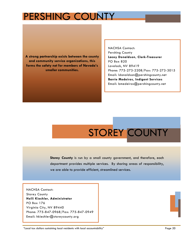# PERSHING COUNTY

**A strong partnership exists between the county and community service organizations, this forms the safety net for members of Nevada's smaller communities.**

NACHSA Contact: Pershing County **Lacey Donaldson, Clerk-Treasurer**  PO Box 820 Lovelock, NV 89419 Phone: 775-273-2208/Fax: 775-273-3015 Email: ldonaldson@pershingcounty.net **Barrie Medeiros, Indigent Services**  Email: bmedeiros@pershingcounty.net

# STOREY COUNTY

**Storey County** is run by a small county government, and therefore, each department provides multiple services. By sharing areas of responsibility, we are able to provide efficient, streamlined services.

NACHSA Contact: Storey County **Holli Kiechler, Administrator**  PO Box 176 Virginia City, NV 89440 Phone: 775-847-0968/Fax: 775-847-0949 Email: hkiechler@storeycounty.org

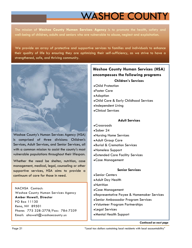# WASHOE COUNTY

The mission of **Washoe County Human Services Agency** is to promote the health, safety and well-being of children, adults and seniors who are vulnerable to abuse, neglect and exploitation.

We provide an array of protective and supportive services to families and individuals to enhance their quality of life by ensuring they are optimizing their self-sufficiency, as we strive to have a strengthened, safe, and thriving community.



Washoe County's Human Services Agency (HSA) is comprised of three divisions: Children's Services, Adult Services, and Senior Services, all with a common mission to assist the county's most vulnerable populations throughout their lifespan.

Whether the need be shelter, nutrition, case management, medical, legal, counseling or other supportive services, HSA aims to provide a continuum of care for those in need.

NACHSA Contact: Washoe County Human Services Agency **Amber Howell, Director**  PO Box 11130 Reno, NV 89501 Phone: 775 328-2778/Fax: 784-7339 Email: ahowell@washoecounty.us

## **Children's Services Washoe County Human Services (HSA) encompasses the following programs**

- Child Protection
- Foster Care
- Adoption
- Child Care & Early Childhood Services
- Independent Living
- Clinical Services

## **Adult Services**

- Crossroads
- Sober 24
- Nursing Home Services
- Adult Group Care
- Burial & Cremation Services
- Homeless Support
- Extended Care Facility Services
- Case Management

## **Senior Services**

- Senior Centers
- Adult Day Health
- Nutrition
- Case Management
- Representative Payee & Homemaker Services
- Senior Ambassador Program Services
- Volunteer Program Partnerships
- Legal Services
- Mental Health Support

*Continued on next page*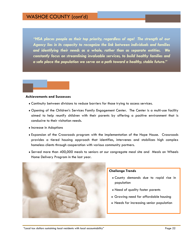*"HSA places people as their top priority, regardless of age! The strength of our Agency lies in its capacity to recognize the link between individuals and families and identifying their needs as a whole, rather than as separate entities. We constantly focus on streamlining invaluable services, to build healthy families and a safe place the population we serve on a path toward a healthy, stable future."* 

#### **Achievements and Successes**

- Continuity between divisions to reduce barriers for those trying to access services.
- Opening of the Children's Services Family Engagement Center. The Center is a multi-use facility aimed to help reunify children with their parents by offering a positive environment that is conducive to their visitation needs.
- **Increase in Adoptions**
- Expansion of the Crossroads program with the implementation of the Hope House. Crossroads provides a tiered housing approach that identifies, intervenes and stabilizes high complex homeless clients through cooperation with various community partners.
- Served more than 400,000 meals to seniors at our congregate meal site and Meals on Wheels Home Delivery Program in the last year.



#### **Challenge Trends**

- County demands due to rapid rise in population
- Need of quality foster parents
- Growing need for affordable housing
- Needs for increasing senior population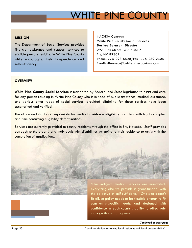# WHITE PINE COUNTY

### **MISSION**

The Department of Social Services provides financial assistance and support services to eligible persons residing in White Pine County while encouraging their independence and self-sufficiency.

NACHSA Contact: White Pine County Social Services **Desiree Barnson, Director**  297 11th Street East, Suite 7 Ely, NV 89301 Phone: 775-293-6528/Fax: 775-289-2405 Email: dbarnson@whitepinecountynv.gov

### **OVERVIEW**

**White Pine County Social Services** is mandated by Federal and State legislation to assist and care for any person residing in White Pine County who is in need of public assistance, medical assistance, and various other types of social services, provided eligibility for those services have been ascertained and verified.

The office and staff are responsible for medical assistance eligibility and deal with highly complex and time consuming eligibility determinations.

Services are currently provided to county residents through the office in Ely, Nevada. Staff provides outreach to the elderly and individuals with disabilities by going to their residence to assist with the completion of applications.





the objective of self-sufficiency. One size doesn't fit all, so policy needs to be flexible enough to fit community-specific needs, and designed with confidence in each county's ability to effectively manage its own programs."

#### *Continued on next page*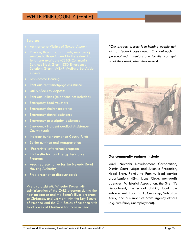## WHITE PINE COUNTY (cont'd)

- 
- 
- 
- Past due rent/mortgage assistance
- 
- 
- Emergency food vouchers
- Emergency shelter assistance
- Emergency dental assistance
- **Emergency prescription assistance**
- Emergency Indigent Medical Assistance-County funds
- **Indigent burial/cremation-County funds**
- Senior nutrition and transportation
- "Footprints" afterschool program
- **Intake site for Low Energy Assistance** Program
- Area representative for the Nevada Rural Housing Authority
- **Free prescription discount cards**

We also assist Mt. Wheeler Power with administration of the CARE program during the heating season and the Santa's Elves program at Christmas, and we work with the Boy Scouts of America and the Girl Scouts of America with food boxes at Christmas for those in need

*"Our biggest success is in helping people get off of federal assistance. Our outreach is personalized ~ seniors and families can get what they need, when they need it."* 



### **Our community partners include**

Rural Nevada Development Corporation, District Court judges and Juvenile Probation, Head Start, Family to Family, local service organizations (Elks, Lions Club), non-profit agencies, Ministerial Association, the Sheriff's Department, the school district, local law enforcement, Food Bank, Geotemp, Salvation Army, and a number of State agency offices (e.g. Welfare, Unemployment).